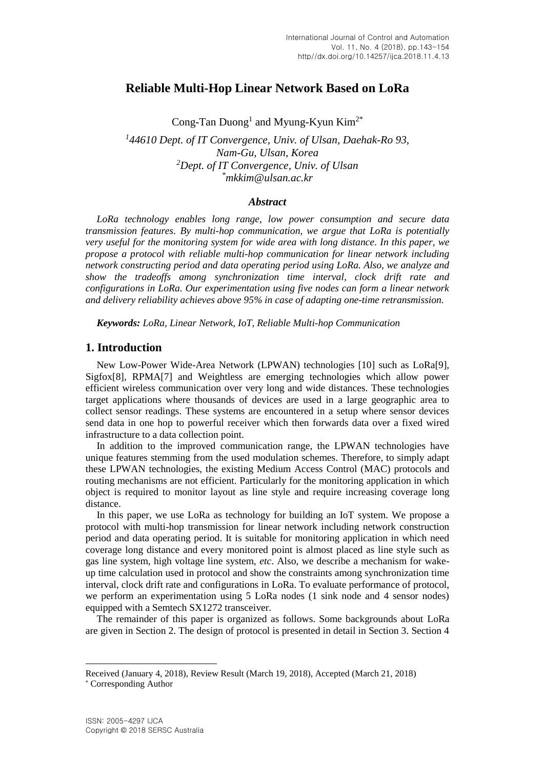# **Reliable Multi-Hop Linear Network Based on LoRa**

Cong-Tan Duong<sup>1</sup> and Myung-Kyun Kim<sup>2\*</sup>

*1 44610 Dept. of IT Convergence, Univ. of Ulsan, Daehak-Ro 93, Nam-Gu, Ulsan, Korea <sup>2</sup>Dept. of IT Convergence, Univ. of Ulsan \*mkkim@ulsan.ac.kr*

#### *Abstract*

*LoRa technology enables long range, low power consumption and secure data transmission features. By multi-hop communication, we argue that LoRa is potentially very useful for the monitoring system for wide area with long distance. In this paper, we propose a protocol with reliable multi-hop communication for linear network including network constructing period and data operating period using LoRa. Also, we analyze and show the tradeoffs among synchronization time interval, clock drift rate and configurations in LoRa. Our experimentation using five nodes can form a linear network and delivery reliability achieves above 95% in case of adapting one-time retransmission.*

*Keywords: LoRa, Linear Network, IoT, Reliable Multi-hop Communication*

### **1. Introduction**

New Low-Power Wide-Area Network (LPWAN) technologies [10] such as LoRa[9], Sigfox[8], RPMA[7] and Weightless are emerging technologies which allow power efficient wireless communication over very long and wide distances. These technologies target applications where thousands of devices are used in a large geographic area to collect sensor readings. These systems are encountered in a setup where sensor devices send data in one hop to powerful receiver which then forwards data over a fixed wired infrastructure to a data collection point.

In addition to the improved communication range, the LPWAN technologies have unique features stemming from the used modulation schemes. Therefore, to simply adapt these LPWAN technologies, the existing Medium Access Control (MAC) protocols and routing mechanisms are not efficient. Particularly for the monitoring application in which object is required to monitor layout as line style and require increasing coverage long distance.

In this paper, we use LoRa as technology for building an IoT system. We propose a protocol with multi-hop transmission for linear network including network construction period and data operating period. It is suitable for monitoring application in which need coverage long distance and every monitored point is almost placed as line style such as gas line system, high voltage line system, *etc*. Also, we describe a mechanism for wakeup time calculation used in protocol and show the constraints among synchronization time interval, clock drift rate and configurations in LoRa. To evaluate performance of protocol, we perform an experimentation using 5 LoRa nodes (1 sink node and 4 sensor nodes) equipped with a Semtech SX1272 transceiver.

The remainder of this paper is organized as follows. Some backgrounds about LoRa are given in Section 2. The design of protocol is presented in detail in Section 3. Section 4

l

Received (January 4, 2018), Review Result (March 19, 2018), Accepted (March 21, 2018) \* Corresponding Author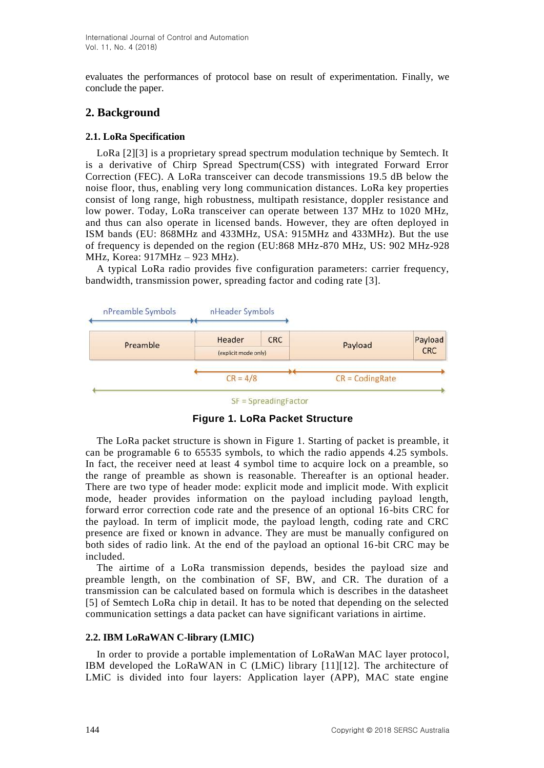evaluates the performances of protocol base on result of experimentation. Finally, we conclude the paper.

# **2. Background**

# **2.1. LoRa Specification**

LoRa [2][3] is a proprietary spread spectrum modulation technique by Semtech. It is a derivative of Chirp Spread Spectrum(CSS) with integrated Forward Error Correction (FEC). A LoRa transceiver can decode transmissions 19.5 dB below the noise floor, thus, enabling very long communication distances. LoRa key properties consist of long range, high robustness, multipath resistance, doppler resistance and low power. Today, LoRa transceiver can operate between 137 MHz to 1020 MHz, and thus can also operate in licensed bands. However, they are often deployed in ISM bands (EU: 868MHz and 433MHz, USA: 915MHz and 433MHz). But the use of frequency is depended on the region (EU:868 MHz-870 MHz, US: 902 MHz-928 MHz, Korea: 917MHz – 923 MHz).

A typical LoRa radio provides five configuration parameters: carrier frequency, bandwidth, transmission power, spreading factor and coding rate [3].



 $SF = SpreadingFactor$ 

**Figure 1. LoRa Packet Structure**

The LoRa packet structure is shown in Figure 1. Starting of packet is preamble, it can be programable 6 to 65535 symbols, to which the radio appends 4.25 symbols. In fact, the receiver need at least 4 symbol time to acquire lock on a preamble, so the range of preamble as shown is reasonable. Thereafter is an optional header. There are two type of header mode: explicit mode and implicit mode. With explicit mode, header provides information on the payload including payload length, forward error correction code rate and the presence of an optional 16-bits CRC for the payload. In term of implicit mode, the payload length, coding rate and CRC presence are fixed or known in advance. They are must be manually configured on both sides of radio link. At the end of the payload an optional 16-bit CRC may be included.

The airtime of a LoRa transmission depends, besides the payload size and preamble length, on the combination of SF, BW, and CR. The duration of a transmission can be calculated based on formula which is describes in the datasheet [5] of Semtech LoRa chip in detail. It has to be noted that depending on the selected communication settings a data packet can have significant variations in airtime.

# **2.2. IBM LoRaWAN C-library (LMIC)**

In order to provide a portable implementation of LoRaWan MAC layer protocol, IBM developed the LoRaWAN in C (LMiC) library [11][12]. The architecture of LMiC is divided into four layers: Application layer (APP), MAC state engine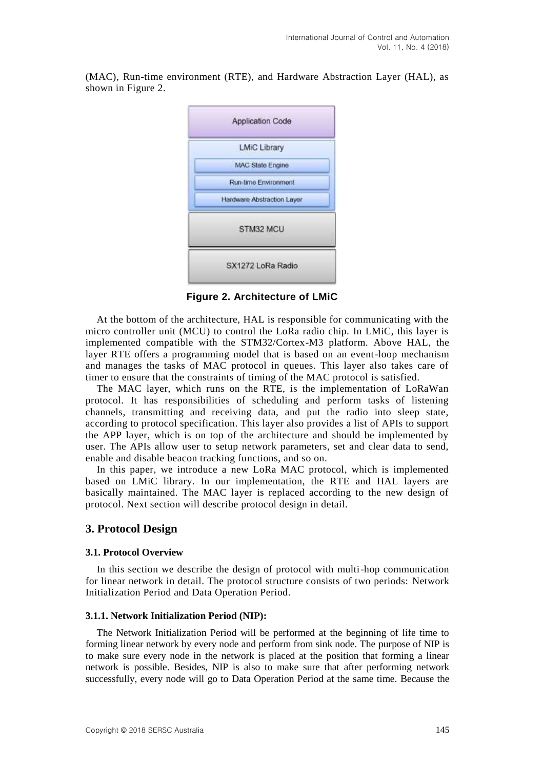(MAC), Run-time environment (RTE), and Hardware Abstraction Layer (HAL), as shown in Figure 2.



**Figure 2. Architecture of LMiC**

At the bottom of the architecture, HAL is responsible for communicating with the micro controller unit (MCU) to control the LoRa radio chip. In LMiC, this layer is implemented compatible with the STM32/Cortex-M3 platform. Above HAL, the layer RTE offers a programming model that is based on an event-loop mechanism and manages the tasks of MAC protocol in queues. This layer also takes care of timer to ensure that the constraints of timing of the MAC protocol is satisfied.

The MAC layer, which runs on the RTE, is the implementation of LoRaWan protocol. It has responsibilities of scheduling and perform tasks of listening channels, transmitting and receiving data, and put the radio into sleep state, according to protocol specification. This layer also provides a list of APIs to support the APP layer, which is on top of the architecture and should be implemented by user. The APIs allow user to setup network parameters, set and clear data to send, enable and disable beacon tracking functions, and so on.

In this paper, we introduce a new LoRa MAC protocol, which is implemented based on LMiC library. In our implementation, the RTE and HAL layers are basically maintained. The MAC layer is replaced according to the new design of protocol. Next section will describe protocol design in detail.

# **3. Protocol Design**

### **3.1. Protocol Overview**

In this section we describe the design of protocol with multi-hop communication for linear network in detail. The protocol structure consists of two periods: Network Initialization Period and Data Operation Period.

### **3.1.1. Network Initialization Period (NIP):**

The Network Initialization Period will be performed at the beginning of life time to forming linear network by every node and perform from sink node. The purpose of NIP is to make sure every node in the network is placed at the position that forming a linear network is possible. Besides, NIP is also to make sure that after performing network successfully, every node will go to Data Operation Period at the same time. Because the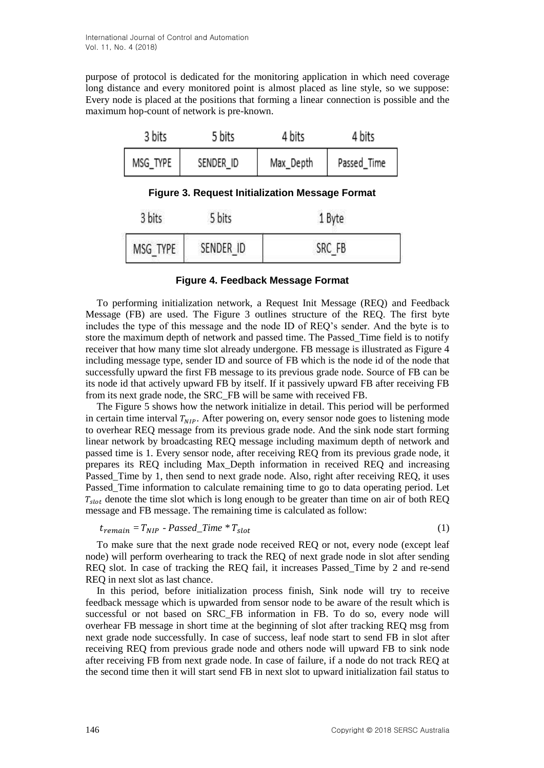purpose of protocol is dedicated for the monitoring application in which need coverage long distance and every monitored point is almost placed as line style, so we suppose: Every node is placed at the positions that forming a linear connection is possible and the maximum hop-count of network is pre-known.

| 3 bits                                                 | 5 bits    | 4 bits    | 4 bits      |  |  |  |  |  |
|--------------------------------------------------------|-----------|-----------|-------------|--|--|--|--|--|
| MSG_TYPE                                               | SENDER_ID | Max_Depth | Passed_Time |  |  |  |  |  |
| <b>Figure 3. Request Initialization Message Format</b> |           |           |             |  |  |  |  |  |
| 3 bits                                                 | 5 bits    | 1 Byte    |             |  |  |  |  |  |
| MSG TYPE                                               | SENDER ID |           | SRC FB      |  |  |  |  |  |

### **Figure 4. Feedback Message Format**

To performing initialization network, a Request Init Message (REQ) and Feedback Message (FB) are used. The Figure 3 outlines structure of the REQ. The first byte includes the type of this message and the node ID of REQ's sender. And the byte is to store the maximum depth of network and passed time. The Passed\_Time field is to notify receiver that how many time slot already undergone. FB message is illustrated as Figure 4 including message type, sender ID and source of FB which is the node id of the node that successfully upward the first FB message to its previous grade node. Source of FB can be its node id that actively upward FB by itself. If it passively upward FB after receiving FB from its next grade node, the SRC\_FB will be same with received FB.

The Figure 5 shows how the network initialize in detail. This period will be performed in certain time interval  $T_{NIP}$ . After powering on, every sensor node goes to listening mode to overhear REQ message from its previous grade node. And the sink node start forming linear network by broadcasting REQ message including maximum depth of network and passed time is 1. Every sensor node, after receiving REQ from its previous grade node, it prepares its REQ including Max\_Depth information in received REQ and increasing Passed Time by 1, then send to next grade node. Also, right after receiving REO, it uses Passed\_Time information to calculate remaining time to go to data operating period. Let  $T_{slot}$  denote the time slot which is long enough to be greater than time on air of both REQ message and FB message. The remaining time is calculated as follow:

$$
t_{remain} = T_{NIP} - Passed\_Time * T_{slot}
$$
 (1)

To make sure that the next grade node received REQ or not, every node (except leaf node) will perform overhearing to track the REQ of next grade node in slot after sending REQ slot. In case of tracking the REQ fail, it increases Passed\_Time by 2 and re-send REQ in next slot as last chance.

In this period, before initialization process finish, Sink node will try to receive feedback message which is upwarded from sensor node to be aware of the result which is successful or not based on SRC\_FB information in FB. To do so, every node will overhear FB message in short time at the beginning of slot after tracking REQ msg from next grade node successfully. In case of success, leaf node start to send FB in slot after receiving REQ from previous grade node and others node will upward FB to sink node after receiving FB from next grade node. In case of failure, if a node do not track REQ at the second time then it will start send FB in next slot to upward initialization fail status to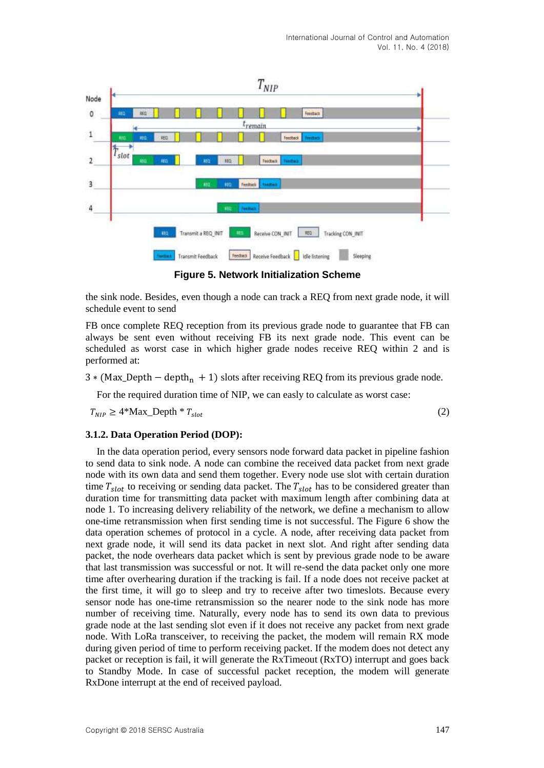

**Figure 5. Network Initialization Scheme**

the sink node. Besides, even though a node can track a REQ from next grade node, it will schedule event to send

FB once complete REQ reception from its previous grade node to guarantee that FB can always be sent even without receiving FB its next grade node. This event can be scheduled as worst case in which higher grade nodes receive REQ within 2 and is performed at:

 $3 * (Max\text{Depth} - depth_n + 1)$  slots after receiving REQ from its previous grade node.

For the required duration time of NIP, we can easly to calculate as worst case:

 $T_{NIP} \geq 4^* \text{Max\_Depth} \cdot r_{slot}$  (2)

### **3.1.2. Data Operation Period (DOP):**

In the data operation period, every sensors node forward data packet in pipeline fashion to send data to sink node. A node can combine the received data packet from next grade node with its own data and send them together. Every node use slot with certain duration time  $T_{slot}$  to receiving or sending data packet. The  $T_{slot}$  has to be considered greater than duration time for transmitting data packet with maximum length after combining data at node 1. To increasing delivery reliability of the network, we define a mechanism to allow one-time retransmission when first sending time is not successful. The Figure 6 show the data operation schemes of protocol in a cycle. A node, after receiving data packet from next grade node, it will send its data packet in next slot. And right after sending data packet, the node overhears data packet which is sent by previous grade node to be aware that last transmission was successful or not. It will re-send the data packet only one more time after overhearing duration if the tracking is fail. If a node does not receive packet at the first time, it will go to sleep and try to receive after two timeslots. Because every sensor node has one-time retransmission so the nearer node to the sink node has more number of receiving time. Naturally, every node has to send its own data to previous grade node at the last sending slot even if it does not receive any packet from next grade node. With LoRa transceiver, to receiving the packet, the modem will remain RX mode during given period of time to perform receiving packet. If the modem does not detect any packet or reception is fail, it will generate the RxTimeout (RxTO) interrupt and goes back to Standby Mode. In case of successful packet reception, the modem will generate RxDone interrupt at the end of received payload.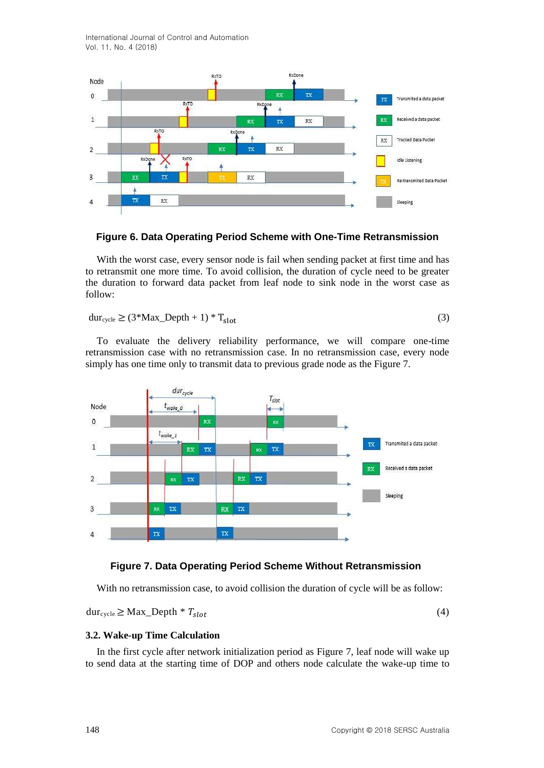International Journal of Control and Automation Vol. 11, No. 4 (2018)



### **Figure 6. Data Operating Period Scheme with One-Time Retransmission**

With the worst case, every sensor node is fail when sending packet at first time and has to retransmit one more time. To avoid collision, the duration of cycle need to be greater the duration to forward data packet from leaf node to sink node in the worst case as follow:

 $dur_{cycle} \geq (3^*Max\_Depth + 1)^* T_{slot}$  (3)

To evaluate the delivery reliability performance, we will compare one-time retransmission case with no retransmission case. In no retransmission case, every node simply has one time only to transmit data to previous grade node as the Figure 7.



### **Figure 7. Data Operating Period Scheme Without Retransmission**

With no retransmission case, to avoid collision the duration of cycle will be as follow:

 $dur_{cycle} \geq Max\_Depth * T_{slot}$  (4)

#### **3.2. Wake-up Time Calculation**

In the first cycle after network initialization period as Figure 7, leaf node will wake up to send data at the starting time of DOP and others node calculate the wake-up time to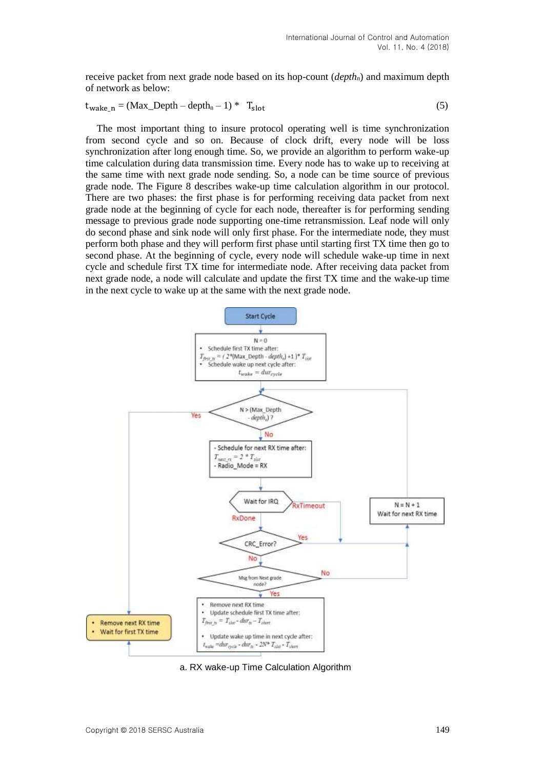receive packet from next grade node based on its hop-count (*depthn*) and maximum depth of network as below:

$$
t_{\text{wake\_}n} = (Max\_Depth - depth_n - 1) * T_{\text{slot}}
$$
 (5)

The most important thing to insure protocol operating well is time synchronization from second cycle and so on. Because of clock drift, every node will be loss synchronization after long enough time. So, we provide an algorithm to perform wake-up time calculation during data transmission time. Every node has to wake up to receiving at the same time with next grade node sending. So, a node can be time source of previous grade node. The Figure 8 describes wake-up time calculation algorithm in our protocol. There are two phases: the first phase is for performing receiving data packet from next grade node at the beginning of cycle for each node, thereafter is for performing sending message to previous grade node supporting one-time retransmission. Leaf node will only do second phase and sink node will only first phase. For the intermediate node, they must perform both phase and they will perform first phase until starting first TX time then go to second phase. At the beginning of cycle, every node will schedule wake-up time in next cycle and schedule first TX time for intermediate node. After receiving data packet from next grade node, a node will calculate and update the first TX time and the wake-up time in the next cycle to wake up at the same with the next grade node.



a. RX wake-up Time Calculation Algorithm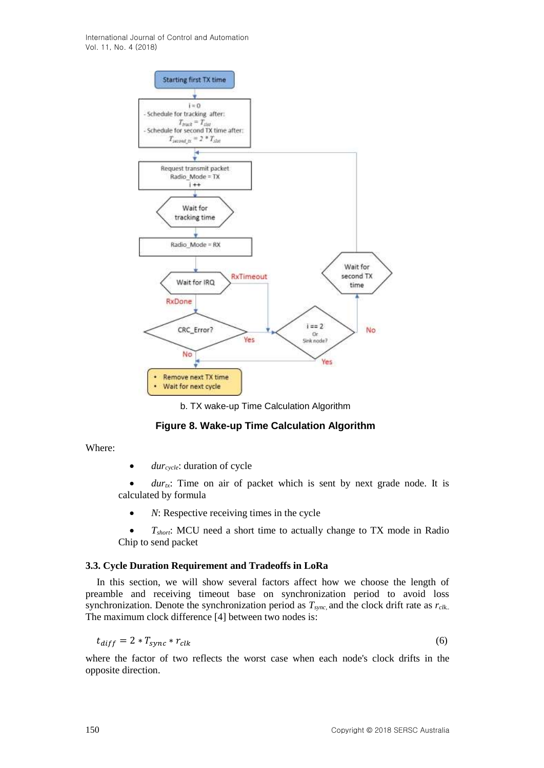International Journal of Control and Automation Vol. 11, No. 4 (2018)



b. TX wake-up Time Calculation Algorithm

# **Figure 8. Wake-up Time Calculation Algorithm**

Where:

• *dur*<sub>cycle</sub>: duration of cycle

 $dur_{tx}$ : Time on air of packet which is sent by next grade node. It is calculated by formula

• *N*: Respective receiving times in the cycle

• *T<sub>short</sub>*: MCU need a short time to actually change to TX mode in Radio Chip to send packet

### **3.3. Cycle Duration Requirement and Tradeoffs in LoRa**

In this section, we will show several factors affect how we choose the length of preamble and receiving timeout base on synchronization period to avoid loss synchronization. Denote the synchronization period as *Tsync,* and the clock drift rate as *rclk..* The maximum clock difference [4] between two nodes is:

$$
t_{diff} = 2 * T_{sync} * r_{clk} \tag{6}
$$

where the factor of two reflects the worst case when each node's clock drifts in the opposite direction.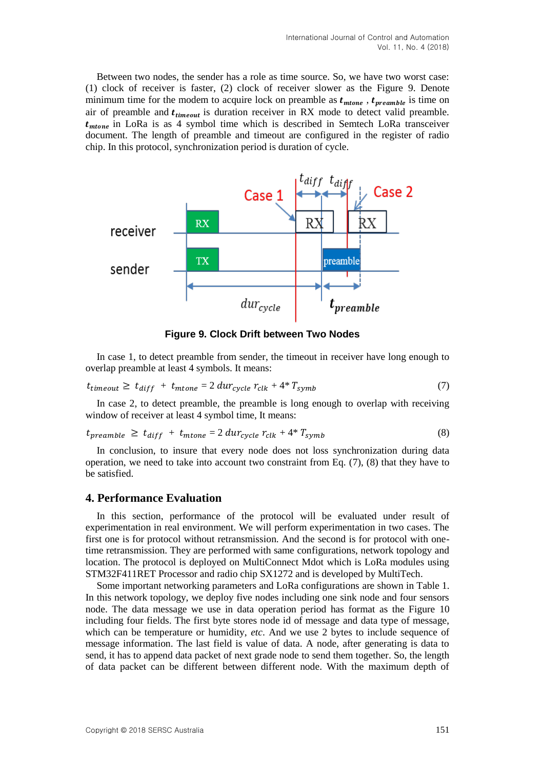Between two nodes, the sender has a role as time source. So, we have two worst case: (1) clock of receiver is faster, (2) clock of receiver slower as the Figure 9. Denote minimum time for the modem to acquire lock on preamble as  $t_{mtone}$ ,  $t_{preamble}$  is time on air of preamble and  $t_{timeout}$  is duration receiver in RX mode to detect valid preamble.  $t_{mtone}$  in LoRa is as 4 symbol time which is described in Semtech LoRa transceiver document. The length of preamble and timeout are configured in the register of radio chip. In this protocol, synchronization period is duration of cycle.



**Figure 9. Clock Drift between Two Nodes**

In case 1, to detect preamble from sender, the timeout in receiver have long enough to overlap preamble at least 4 symbols. It means:

$$
t_{timeout} \geq t_{diff} + t_{mtone} = 2 \, dur_{cycle} \, r_{clk} + 4 \cdot r_{symb} \tag{7}
$$

In case 2, to detect preamble, the preamble is long enough to overlap with receiving window of receiver at least 4 symbol time, It means:

$$
t_{preample} \geq t_{diff} + t_{mtone} = 2 \, dur_{cycle} \, r_{clk} + 4^* \, T_{symb} \tag{8}
$$

In conclusion, to insure that every node does not loss synchronization during data operation, we need to take into account two constraint from Eq. (7), (8) that they have to be satisfied.

# **4. Performance Evaluation**

In this section, performance of the protocol will be evaluated under result of experimentation in real environment. We will perform experimentation in two cases. The first one is for protocol without retransmission. And the second is for protocol with onetime retransmission. They are performed with same configurations, network topology and location. The protocol is deployed on MultiConnect Mdot which is LoRa modules using STM32F411RET Processor and radio chip SX1272 and is developed by MultiTech.

Some important networking parameters and LoRa configurations are shown in Table 1. In this network topology, we deploy five nodes including one sink node and four sensors node. The data message we use in data operation period has format as the Figure 10 including four fields. The first byte stores node id of message and data type of message, which can be temperature or humidity, *etc*. And we use 2 bytes to include sequence of message information. The last field is value of data. A node, after generating is data to send, it has to append data packet of next grade node to send them together. So, the length of data packet can be different between different node. With the maximum depth of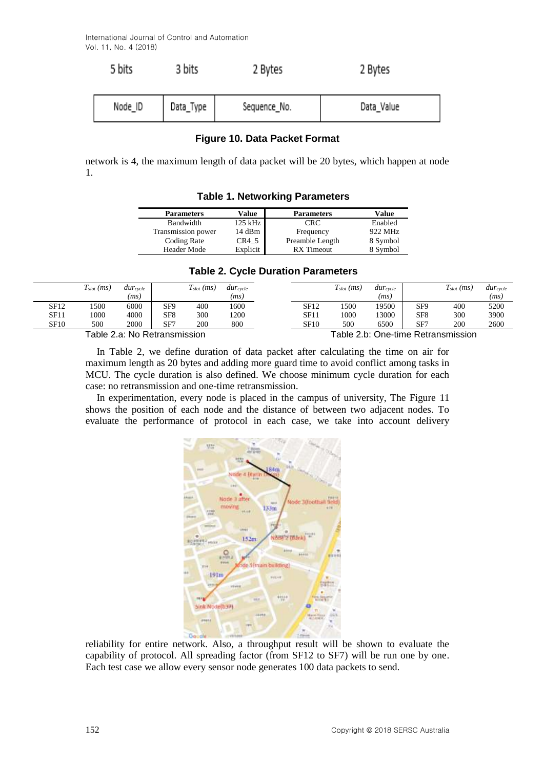$5.111$ 

 $r$  Links

| J DILS  | 3 DILS    | z Bytes      | z Bytes    |  |  |
|---------|-----------|--------------|------------|--|--|
| Node ID | Data_Type | Sequence_No. | Data Value |  |  |

 $0.01 + 1.01$ 

 $0.01 + 1.0$ 

### **Figure 10. Data Packet Format**

network is 4, the maximum length of data packet will be 20 bytes, which happen at node 1.

| $1.4010$ $1.100110$ $1.01119$ $1.010110$ |           |                   |          |  |  |  |  |  |
|------------------------------------------|-----------|-------------------|----------|--|--|--|--|--|
| <b>Parameters</b>                        | Value     | <b>Parameters</b> | Value    |  |  |  |  |  |
| Bandwidth                                | $125$ kHz | CRC.              | Enabled  |  |  |  |  |  |
| Transmission power                       | 14dBm     | Frequency         | 922 MHz  |  |  |  |  |  |
| Coding Rate                              | CR4 5     | Preamble Length   | 8 Symbol |  |  |  |  |  |
| <b>Header Mode</b>                       | Explicit  | <b>RX</b> Timeout | 8 Symbol |  |  |  |  |  |

# **Table 1. Networking Parameters**

### **Table 2. Cycle Duration Parameters**

|                              | $T_{slot}(ms)$ | $dur_{\text{cycle}}$ |                 | $T_{slot}(ms)$                     | $dur_{\text{cycle}}$ |      | $T_{slot}\left(ms\right)$ | $dur_{\text{cycle}}$ |                 | $T_{slot}$ (ms) | $dur_{\text{cycle}}$ |
|------------------------------|----------------|----------------------|-----------------|------------------------------------|----------------------|------|---------------------------|----------------------|-----------------|-----------------|----------------------|
|                              |                | 'ms)                 |                 |                                    | (ms)                 |      |                           | (ms)                 |                 |                 | (ms)                 |
| SF12                         | 1500           | 6000                 | SF9             | 400                                | 1600                 | SF12 | 1500                      | 19500                | SF <sub>9</sub> | 400             | 5200                 |
| SF11                         | 1000           | 4000                 | SF <sub>8</sub> | 300                                | 1200                 | SF11 | 1000                      | 13000                | SF <sub>8</sub> | 300             | 3900                 |
| SF10                         | 500            | 2000                 | SF7             | 200                                | 800                  | SF10 | 500                       | 6500                 | SF <sup>7</sup> | 200             | 2600                 |
| Table 2.a: No Retransmission |                |                      |                 | Table 2.b: One-time Retransmission |                      |      |                           |                      |                 |                 |                      |

In Table 2, we define duration of data packet after calculating the time on air for maximum length as 20 bytes and adding more guard time to avoid conflict among tasks in MCU. The cycle duration is also defined. We choose minimum cycle duration for each case: no retransmission and one-time retransmission.

In experimentation, every node is placed in the campus of university, The Figure 11 shows the position of each node and the distance of between two adjacent nodes. To evaluate the performance of protocol in each case, we take into account delivery



reliability for entire network. Also, a throughput result will be shown to evaluate the capability of protocol. All spreading factor (from SF12 to SF7) will be run one by one. Each test case we allow every sensor node generates 100 data packets to send.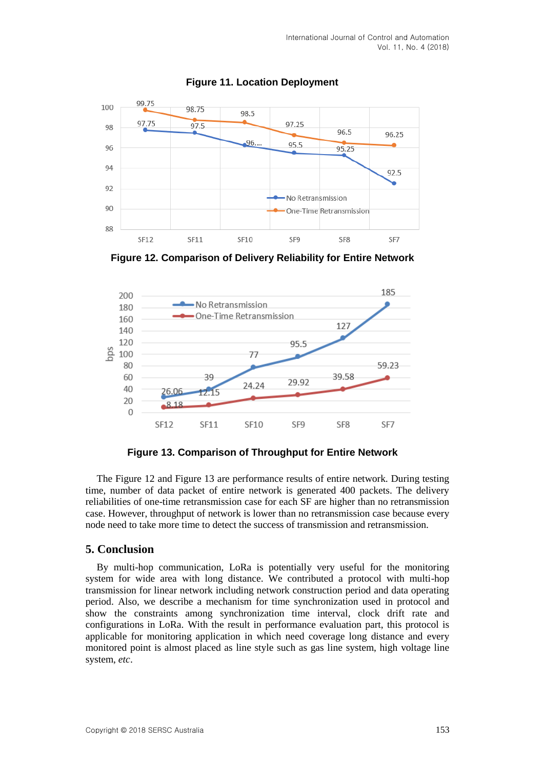

**Figure 11. Location Deployment**

**Figure 12. Comparison of Delivery Reliability for Entire Network**



**Figure 13. Comparison of Throughput for Entire Network**

The Figure 12 and Figure 13 are performance results of entire network. During testing time, number of data packet of entire network is generated 400 packets. The delivery reliabilities of one-time retransmission case for each SF are higher than no retransmission case. However, throughput of network is lower than no retransmission case because every node need to take more time to detect the success of transmission and retransmission.

# **5. Conclusion**

By multi-hop communication, LoRa is potentially very useful for the monitoring system for wide area with long distance. We contributed a protocol with multi-hop transmission for linear network including network construction period and data operating period. Also, we describe a mechanism for time synchronization used in protocol and show the constraints among synchronization time interval, clock drift rate and configurations in LoRa. With the result in performance evaluation part, this protocol is applicable for monitoring application in which need coverage long distance and every monitored point is almost placed as line style such as gas line system, high voltage line system, *etc*.